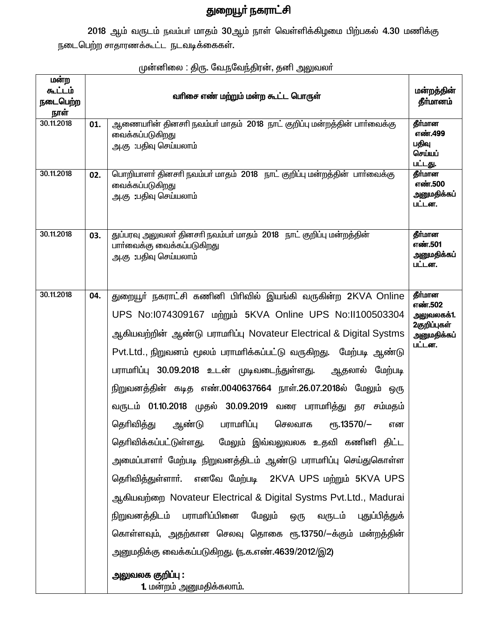## துறையூர் நகராட்சி

2018 ஆம் வருடம் நவம்பர் மாதம் 30ஆம் நாள் வெள்ளிக்கிழமை பிற்பகல் 4.30 மணிக்கு நடைபெற்ற சாதாரணக்கூட்ட நடவடிக்கைகள்.

| மன்ற<br>கூட்டம்<br>நடைபெற்ற<br>நாள் |     | வரிசை எண் மற்றும் மன்ற கூட்ட பொருள்                                                                                                                                                                                                                                                                                                                                                                                                                                                                                                                                                                                                                                                                                                                                                                                                                                                                                                                                                                                                                                     | மன்றத்தின்<br>தீர்மானம்                                                   |
|-------------------------------------|-----|-------------------------------------------------------------------------------------------------------------------------------------------------------------------------------------------------------------------------------------------------------------------------------------------------------------------------------------------------------------------------------------------------------------------------------------------------------------------------------------------------------------------------------------------------------------------------------------------------------------------------------------------------------------------------------------------------------------------------------------------------------------------------------------------------------------------------------------------------------------------------------------------------------------------------------------------------------------------------------------------------------------------------------------------------------------------------|---------------------------------------------------------------------------|
| 30.11.2018                          | 01. | ஆணையாின் தினசாி நவம்பா் மாதம்  2018  நாட் குறிப்பு மன்றத்தின் பாா்வைக்கு<br>வைக்கப்படுகிறது<br>அ.கு :பதிவு செய்யலாம்                                                                                                                                                                                                                                                                                                                                                                                                                                                                                                                                                                                                                                                                                                                                                                                                                                                                                                                                                    | தீர்மான<br>எண்.499<br>பதிவு<br>செய்யப்<br>பட்டது.                         |
| 30.11.2018                          | 02. | பொறியாளர் தினசரி நவம்பர் மாதம் 2018 நாட் குறிப்பு மன்றத்தின் பார்வைக்கு<br>வைக்கப்படுகிறது<br>அ.கு :பதிவு செய்யலாம்                                                                                                                                                                                                                                                                                                                                                                                                                                                                                                                                                                                                                                                                                                                                                                                                                                                                                                                                                     | தீர்மான<br>எண்.500<br>அனுமதிக்கப்<br>பட்டன.                               |
| 30.11.2018                          | 03. | துப்பரவு அலுவலர் தினசரி நவம்பர் மாதம் 2018 நாட் குறிப்பு மன்றத்தின்<br>பார்வைக்கு வைக்கப்படுகிறது<br>அ.கு:பதிவு செய்யலாம்                                                                                                                                                                                                                                                                                                                                                                                                                                                                                                                                                                                                                                                                                                                                                                                                                                                                                                                                               | தீர்மான<br>எண்.501<br>அனுமதிக்கப்<br>பட்டன.                               |
| 30.11.2018                          | 04. | துறையூா் நகராட்சி கணினி பிரிவில் இயங்கி வருகின்ற 2KVA Online<br>UPS No:1074309167    ungmund 5KVA Online UPS No:11100503304<br>ஆகியவற்றின் ஆண்டு பராமரிப்பு Novateur Electrical & Digital Systms<br>Pvt.Ltd., நிறுவனம் மூலம் பராமாிக்கப்பட்டு வருகிறது. மேற்படி ஆண்டு<br>பராமாிப்பு 30.09.2018 உடன் முடிவடைந்துள்ளது. ஆதலால் மேற்படி<br>நிறுவனத்தின் கடித எண்.0040637664 நாள்.26.07.2018ல் மேலும் ஒரு<br>வருடம் 01.10.2018 முதல் 30.09.2019 வரை பராமரித்து தர சம்மதம்<br>பராமரிப்பு<br>செலவாக<br>தெரிவித்து<br>ஆண்டு<br>еҧ.13570/-<br>என<br>தொிவிக்கப்பட்டுள்ளது.   மேலும்  இவ்வலுவலக  உதவி  கணினி  திட்ட<br>அமைப்பாளா் மேற்படி நிறுவனத்திடம் ஆண்டு பராமாிப்பு செய்துகொள்ள<br>தெரிவித்துள்ளார். எனவே மேற்படி 2KVA UPS மற்றும் 5KVA UPS<br>ஆகியவற்றை Novateur Electrical & Digital Systms Pvt.Ltd., Madurai<br>நிறுவனத்திடம் பராமாிப்பினை<br>மேலும்<br>வருடம்<br>புதுப்பித்துக்<br>ஒரு<br>கொள்ளவும், அதற்கான செலவு தொகை ரூ.13750/-க்கும் மன்றத்தின்<br>அனுமதிக்கு வைக்கப்படுகிறது. (ந.க.எண்.4639/2012/இ2)<br><u>அலுவலக குறிப்பு :</u><br><b>1.</b> மன்றம் அனுமதிக்கலாம். | தீர்மான<br>எண்.502<br>அலுவலகக்1.<br>2குறிப்புகள்<br>அனுமதிக்கப்<br>பட்டன. |

முன்னிலை : திரு. வே.நவேந்திரன், தனி அலுவலா்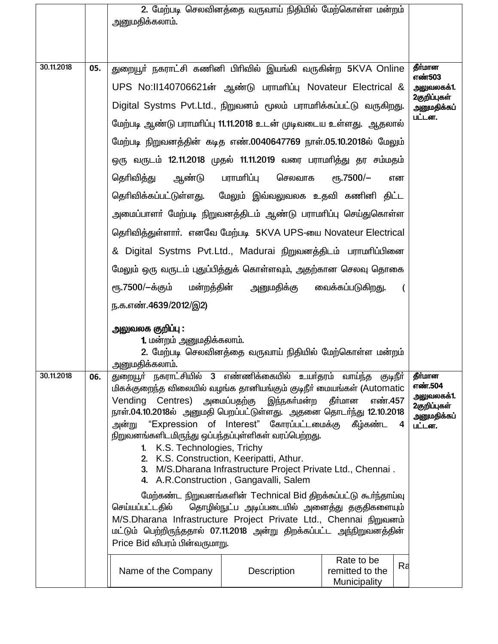|            |     | அனுமதிக்கலாம்.                                                                                                                                                                                                                                                                                                                                                                                                                                                                                                                                                                    | 2. மேற்படி செலவினத்தை வருவாய் நிதியில் மேற்கொள்ள மன்றம் |                                                                           |    |                            |
|------------|-----|-----------------------------------------------------------------------------------------------------------------------------------------------------------------------------------------------------------------------------------------------------------------------------------------------------------------------------------------------------------------------------------------------------------------------------------------------------------------------------------------------------------------------------------------------------------------------------------|---------------------------------------------------------|---------------------------------------------------------------------------|----|----------------------------|
| 30.11.2018 | 05. | துறையூா் நகராட்சி கணினி பிாிவில் இயங்கி வருகின்ற 5KVA Online                                                                                                                                                                                                                                                                                                                                                                                                                                                                                                                      |                                                         |                                                                           |    | தீர்மான<br>எண்503          |
|            |     | UPS No:II140706621ன் ஆண்டு பராமரிப்பு Novateur Electrical &                                                                                                                                                                                                                                                                                                                                                                                                                                                                                                                       |                                                         |                                                                           |    | அலுவலகக்1.<br>2குறிப்புகள் |
|            |     | Digital Systms Pvt.Ltd., நிறுவனம் மூலம் பராமாிக்கப்பட்டு வருகிறது.                                                                                                                                                                                                                                                                                                                                                                                                                                                                                                                |                                                         |                                                                           |    | அனுமதிக்கப்                |
|            |     | மேற்படி ஆண்டு பராமாிப்பு 11.11.2018 உடன் முடிவடைய உள்ளது. ஆதலால்                                                                                                                                                                                                                                                                                                                                                                                                                                                                                                                  |                                                         |                                                                           |    | பட்டன.                     |
|            |     | மேற்படி நிறுவனத்தின் கடித எண்.0040647769 நாள்.05.10.2018ல் மேலும்                                                                                                                                                                                                                                                                                                                                                                                                                                                                                                                 |                                                         |                                                                           |    |                            |
|            |     | ஒரு வருடம் 12.11.2018 முதல் 11.11.2019 வரை பராமாித்து தர சம்மதம்                                                                                                                                                                                                                                                                                                                                                                                                                                                                                                                  |                                                         |                                                                           |    |                            |
|            |     | தெரிவித்து<br>ஆண்டு                                                                                                                                                                                                                                                                                                                                                                                                                                                                                                                                                               | பராமரிப்பு<br>செலவாக                                    | $\rm e$ гђ.7500/-                                                         | என |                            |
|            |     | தெரிவிக்கப்பட்டுள்ளது. மேலும் இவ்வலுவலக உதவி கணினி திட்ட                                                                                                                                                                                                                                                                                                                                                                                                                                                                                                                          |                                                         |                                                                           |    |                            |
|            |     | அமைப்பாளா் மேற்படி நிறுவனத்திடம் ஆண்டு பராமாிப்பு செய்துகொள்ள                                                                                                                                                                                                                                                                                                                                                                                                                                                                                                                     |                                                         |                                                                           |    |                            |
|            |     | தெரிவித்துள்ளார். எனவே மேற்படி 5KVA UPS-யை Novateur Electrical                                                                                                                                                                                                                                                                                                                                                                                                                                                                                                                    |                                                         |                                                                           |    |                            |
|            |     | & Digital Systms Pvt.Ltd., Madurai நிறுவனத்திடம் பராமரிப்பினை                                                                                                                                                                                                                                                                                                                                                                                                                                                                                                                     |                                                         |                                                                           |    |                            |
|            |     | மேலும் ஒரு வருடம் புதுப்பித்துக் கொள்ளவும், அதற்கான செலவு தொகை                                                                                                                                                                                                                                                                                                                                                                                                                                                                                                                    |                                                         |                                                                           |    |                            |
|            |     | ரூ.7500/—க்கும்<br>மன்றத்தின்                                                                                                                                                                                                                                                                                                                                                                                                                                                                                                                                                     | அனுமதிக்கு                                              | வைக்கப்படுகிறது.                                                          | (  |                            |
|            |     | ந.க.எண்.4639/2012/இ2)                                                                                                                                                                                                                                                                                                                                                                                                                                                                                                                                                             |                                                         |                                                                           |    |                            |
|            |     | <u>அலுவலக குறிப்பு :</u><br>1. மன்றம் அனுமதிக்கலாம்.<br><u>அன</u> ுமதிக்கலாம்.                                                                                                                                                                                                                                                                                                                                                                                                                                                                                                    | 2. மேற்படி செலவினத்தை வருவாய் நிதியில் மேற்கொள்ள மன்றம் |                                                                           |    |                            |
| 30.11.2018 | 06. | துறையூா் நகராட்சியில் 3 எண்ணிக்கையில் உயா்தரம் வாய்ந்த குடிநீா்<br>மிகக்குறைந்த விலையில் வழங்க தானியங்கும் குடிநீர் மையங்கள் (Automatic<br>Vending Centres) அமைப்பதற்கு இந்நகர்மன்ற தீர்மான<br>நாள்.04.10.2018ல் அனுமதி பெறப்பட்டுள்ளது. அதனை தொடர்ந்து 12.10.2018<br>அன்று "Expression of Interest" கோரப்பட்டமைக்கு கீழ்கண்ட<br>நிறுவனங்களிடமிருந்து ஒப்பந்தப்புள்ளிகள் வரப்பெற்றது.<br>K.S. Technologies, Trichy<br>$1 -$<br>2. K.S. Construction, Keeripatti, Athur.<br>3. M/S.Dharana Infrastructure Project Private Ltd., Chennai.<br>4. A.R.Construction, Gangavalli, Salem | எண்.457<br>4                                            | தீர்மான<br>எண்.504<br>அலுவலகக்1.<br>2குறிப்புகள்<br>அனுமதிக்கப்<br>பட்டன. |    |                            |
|            |     | மேற்கண்ட நிறுவனங்களின் Technical Bid திறக்கப்பட்டு கூர்ந்தாய்வு<br>தொழில்நுட்ப அடிப்படையில் அனைத்து தகுதிகளையும்<br>செய்யப்பட்டதில்<br>M/S.Dharana Infrastructure Project Private Ltd., Chennai நிறுவனம்<br>மட்டும் பெற்றிருந்ததால் 07.11.2018 அன்று திறக்கப்பட்ட அந்நிறுவனத்தின்<br>Price Bid விபரம் பின்வருமாறு.                                                                                                                                                                                                                                                                |                                                         |                                                                           |    |                            |
|            |     | Name of the Company                                                                                                                                                                                                                                                                                                                                                                                                                                                                                                                                                               | Description                                             | Rate to be<br>remitted to the<br>Municipality                             | Ra |                            |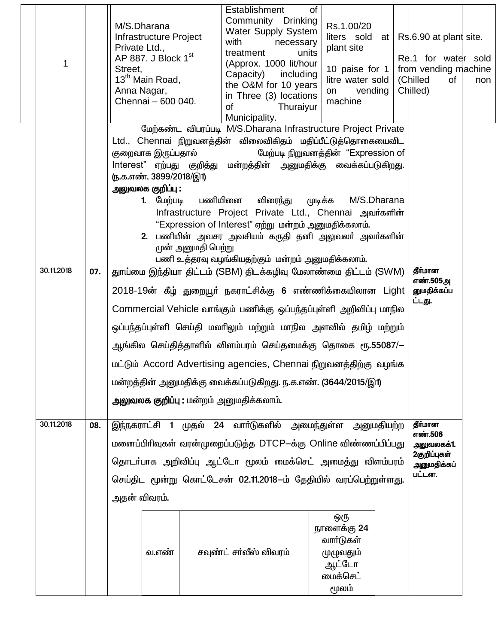| 1          |     | M/S.Dharana<br>Infrastructure Project<br>Private Ltd.,<br>AP 887. J Block $1st$<br>Street,<br>13 <sup>th</sup> Main Road,<br>Anna Nagar,<br>Chennai - 600 040.                                                                                                                                                                                                                                                                                                                                                                                                                                                                   | Establishment<br>οf<br>Community Drinking<br>Water Supply System<br>with<br>necessary<br>units<br>treatment<br>(Approx. 1000 lit/hour<br>Capacity) including<br>the O&M for 10 years<br>in Three (3) locations<br>οf<br>Thuraiyur<br>Municipality.            | Rs.1.00/20<br>liters sold at $ $ Rs.6.90 at plant site.<br>plant site<br>10 paise for 1<br>litre water sold<br>vending<br>on<br>machine | Re.1 for water sold<br>from vending machine<br>(Chilled<br>of<br>Chilled) | non |  |  |
|------------|-----|----------------------------------------------------------------------------------------------------------------------------------------------------------------------------------------------------------------------------------------------------------------------------------------------------------------------------------------------------------------------------------------------------------------------------------------------------------------------------------------------------------------------------------------------------------------------------------------------------------------------------------|---------------------------------------------------------------------------------------------------------------------------------------------------------------------------------------------------------------------------------------------------------------|-----------------------------------------------------------------------------------------------------------------------------------------|---------------------------------------------------------------------------|-----|--|--|
|            |     | Ltd., Chennai நிறுவனத்தின் விலைவிகிதம் மதிப்பீட்டுத்தொகையைவிட<br>குறைவாக இருப்பதால்<br>Interest" ஏற்பது குறித்து மன்றத்தின் அனுமதிக்கு வைக்கப்படுகிறது.<br><u>ரு.க.எண். 3899/2018/இ1)</u><br>அலுவலக குறிப்பு :<br>1. மேற்படி பணியினை<br>முன் அனுமதி பெற்று                                                                                                                                                                                                                                                                                                                                                                       | மேற்கண்ட விபரப்படி M/S.Dharana Infrastructure Project Private<br>விரைந்து<br>ழுடிக்க<br>Infrastructure Project Private Ltd., Chennai அவர்களின்<br>"Expression of Interest" ஏற்று மன்றம் அனுமதிக்கலாம்.<br>2. பணியின் அவசர அவசியம் கருதி தனி அலுவலா் அவா்களின் | மேற்படி நிறுவனத்தின் "Expression of<br>M/S.Dharana                                                                                      |                                                                           |     |  |  |
| 30.11.2018 | 07. | பணி உத்தரவு வழங்கியதற்கும் மன்றம் அனுமதிக்கலாம்.<br>தீர்மான<br>துாய்மை இந்தியா திட்டம் (SBM) திடக்கழிவு மேலாண்மை திட்டம் (SWM)<br>எண்.505அ<br>2018-19ன் கீழ் துறையூர் நகராட்சிக்கு 6 எண்ணிக்கையிலான Light<br>னுமதிக்கப்ப<br>ட்டது.<br>Commercial Vehicle வாங்கும் பணிக்கு ஒப்பந்தப்புள்ளி அறிவிப்பு மாநில<br>ஒப்பந்தப்புள்ளி செய்தி மலாிலும் மற்றும் மாநில அளவில் தமிழ் மற்றும்<br>ஆங்கில செய்தித்தாளில் விளம்பரம் செய்தமைக்கு தொகை ரூ.55087/—<br>மட்டும் Accord Advertising agencies, Chennai நிறுவனத்திற்கு வழங்க<br>மன்றத்தின் அனுமதிக்கு வைக்கப்படுகிறது. ந.க.எண். (3644/2015/இ1)<br>அலுவலக குறிப்பு : மன்றம் அனுமதிக்கலாம். |                                                                                                                                                                                                                                                               |                                                                                                                                         |                                                                           |     |  |  |
| 30.11.2018 | 08. | இந்நகராட்சி 1 முதல் 24 வார்டுகளில் அமைந்துள்ள அனுமதியற்ற<br>தீர்மான<br>எண்.506<br>மனைப்பிரிவுகள் வரன்முறைப்படுத்த DTCP–க்கு Online விண்ணப்பிப்பது<br>அலுவலகக்1.<br>2குறிப்புகள்<br>தொடா்பாக அறிவிப்பு ஆட்டோ மூலம் மைக்செட் அமைத்து விளம்பரம்<br>அனுமதிக்கப்<br>பட்டன.<br>செய்திட மூன்று கொட்டேசன் 02.11.2018–ம் தேதியில் வரப்பெற்றுள்ளது.<br>அதன் விவரம்.                                                                                                                                                                                                                                                                        |                                                                                                                                                                                                                                                               |                                                                                                                                         |                                                                           |     |  |  |
|            |     | வ.எண்                                                                                                                                                                                                                                                                                                                                                                                                                                                                                                                                                                                                                            | சவுண்ட் சா்வீஸ் விவரம்                                                                                                                                                                                                                                        | ஒரு<br>நாளைக்கு 24<br>வாா்டுகள்<br>முழுவதும்<br>ஆட்டோ<br>மைக்செட்<br>மூலம்                                                              |                                                                           |     |  |  |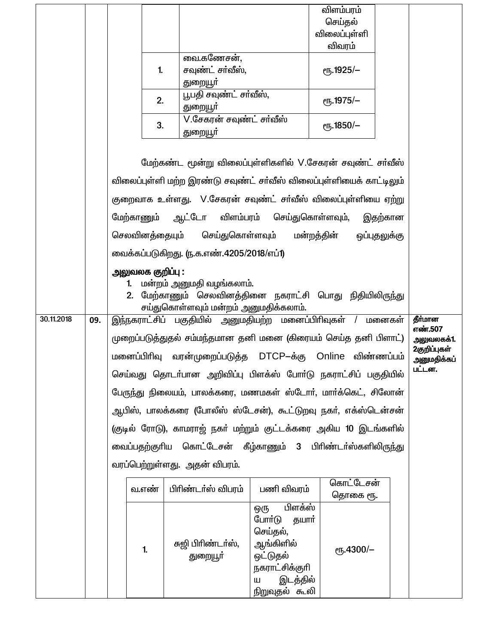|            |     |                                                                                                                                                                                                     |                                                                                                                                                  |                                                                                                           | விளம்பரம்             |            |                             |  |  |  |
|------------|-----|-----------------------------------------------------------------------------------------------------------------------------------------------------------------------------------------------------|--------------------------------------------------------------------------------------------------------------------------------------------------|-----------------------------------------------------------------------------------------------------------|-----------------------|------------|-----------------------------|--|--|--|
|            |     |                                                                                                                                                                                                     |                                                                                                                                                  |                                                                                                           | செய்தல்               |            |                             |  |  |  |
|            |     |                                                                                                                                                                                                     |                                                                                                                                                  |                                                                                                           | விலைப்புள்ளி          |            |                             |  |  |  |
|            |     |                                                                                                                                                                                                     |                                                                                                                                                  |                                                                                                           | விவரம்                |            |                             |  |  |  |
|            |     |                                                                                                                                                                                                     | வை.கணேசன்,                                                                                                                                       |                                                                                                           |                       |            |                             |  |  |  |
|            |     | 1.                                                                                                                                                                                                  | சவுண்ட் சா்வீஸ்,                                                                                                                                 |                                                                                                           | <sub>e</sub> 5.1925/- |            |                             |  |  |  |
|            |     |                                                                                                                                                                                                     | துறையூா்<br>பூபதி சவுண்ட் சா்வீஸ்,                                                                                                               |                                                                                                           |                       |            |                             |  |  |  |
|            |     | 2.                                                                                                                                                                                                  | துறையூா்                                                                                                                                         |                                                                                                           | eҧ.1975/-             |            |                             |  |  |  |
|            |     | 3.                                                                                                                                                                                                  | V.சேகரன் சவுண்ட் சர்வீஸ்<br>துறையூா்                                                                                                             |                                                                                                           | $\epsilon$ гђ.1850/-  |            |                             |  |  |  |
|            |     | மேற்கண்ட மூன்று விலைப்புள்ளிகளில் V.சேகரன் சவுண்ட் சர்வீஸ்<br>விலைப்புள்ளி மற்ற இரண்டு சவுண்ட் சர்வீஸ் விலைப்புள்ளியைக் காட்டிலும்<br>குறைவாக உள்ளது. V.சேகரன் சவுண்ட் சா்வீஸ் விலைப்புள்ளியை ஏற்று |                                                                                                                                                  |                                                                                                           |                       |            |                             |  |  |  |
|            |     | மேற்காணும்                                                                                                                                                                                          | ஆட்டோ விளம்பரம் செய்துகொள்ளவும்,                                                                                                                 |                                                                                                           |                       |            |                             |  |  |  |
|            |     |                                                                                                                                                                                                     | செலவினத்தையும் செய்துகொள்ளவும் மன்றத்தின் ஒப்புதலுக்கு                                                                                           |                                                                                                           |                       | இதற்கான    |                             |  |  |  |
|            |     |                                                                                                                                                                                                     | வைக்கப்படுகிறது. ரு.க.எண்.4205/2018/எப்1)                                                                                                        |                                                                                                           |                       |            |                             |  |  |  |
|            |     |                                                                                                                                                                                                     |                                                                                                                                                  |                                                                                                           |                       |            |                             |  |  |  |
|            |     | 1.                                                                                                                                                                                                  | அலுவலக குறிப்பு :<br>மன்றம் அனுமதி வழங்கலாம்.<br>2. மேற்காணும் செலவினத்தினை நகராட்சி பொது நிதியிலிருந்து<br>சய்துகொள்ளவும் மன்றம் அனுமதிக்கலாம். |                                                                                                           |                       |            |                             |  |  |  |
| 30.11.2018 | 09. |                                                                                                                                                                                                     | தீர்மான<br>இந்நகராட்சிப் பகுதியில் அனுமதியற்ற மனைப்பிரிவுகள் / மனைகள்                                                                            |                                                                                                           |                       |            |                             |  |  |  |
|            |     |                                                                                                                                                                                                     | முறைப்படுத்துதல் சம்மந்தமான தனி மனை (கிரையம் செய்த தனி பிளாட்)                                                                                   |                                                                                                           |                       |            | எண்.507<br>அலுவலகக்1.       |  |  |  |
|            |     | மனைப்பிரிவு                                                                                                                                                                                         | வரன்முறைப்படுத்த DTCP–க்கு Online                                                                                                                |                                                                                                           |                       | விண்ணப்பம் | 2குறிப்புகள்<br>அனுமதிக்கப் |  |  |  |
|            |     |                                                                                                                                                                                                     | செய்வது தொடா்பான அறிவிப்பு பிளக்ஸ் போா்டு நகராட்சிப் பகுதியில்                                                                                   |                                                                                                           |                       |            | பட்டன.                      |  |  |  |
|            |     |                                                                                                                                                                                                     | பேருந்து நிலையம், பாலக்கரை, மணமகள் ஸ்டோர், மார்க்கெட், சிலோன்                                                                                    |                                                                                                           |                       |            |                             |  |  |  |
|            |     |                                                                                                                                                                                                     | ஆபிஸ், பாலக்கரை (போலீஸ் ஸ்டேசன்), கூட்டுறவு நகா், எக்ஸ்டென்சன்                                                                                   |                                                                                                           |                       |            |                             |  |  |  |
|            |     |                                                                                                                                                                                                     | (குடில் ரோடு), காமராஜ் நகா் மற்றும் குட்டக்கரை அகிய 10 இடங்களில்                                                                                 |                                                                                                           |                       |            |                             |  |  |  |
|            |     |                                                                                                                                                                                                     | வைப்பதற்குரிய கொட்டேசன் கீழ்காணும் 3 பிரிண்டா்ஸ்களிலிருந்து                                                                                      |                                                                                                           |                       |            |                             |  |  |  |
|            |     |                                                                                                                                                                                                     | வரப்பெற்றுள்ளது. அதன் விபரம்.                                                                                                                    |                                                                                                           |                       |            |                             |  |  |  |
|            |     | வ.எண்                                                                                                                                                                                               | பிரிண்டர்ஸ் விபரம்                                                                                                                               | பணி விவரம்                                                                                                | கொட்டேசன்<br>தொகை ரூ. |            |                             |  |  |  |
|            |     | $\mathbf{1}$                                                                                                                                                                                        | சுஜி பிரிண்டர்ஸ்,<br>துறையூா்                                                                                                                    | பிளக்ஸ்<br>ஒரு<br>போர்டு<br>தயார்<br>செய்தல்,<br>ஆங்கிளில்<br>ஒட்டுதல்<br>நகராட்சிக்குரி<br>இடத்தில்<br>Ш | еҧ.4300/-             |            |                             |  |  |  |
|            |     |                                                                                                                                                                                                     |                                                                                                                                                  | நிறுவுதல் கூலி                                                                                            |                       |            |                             |  |  |  |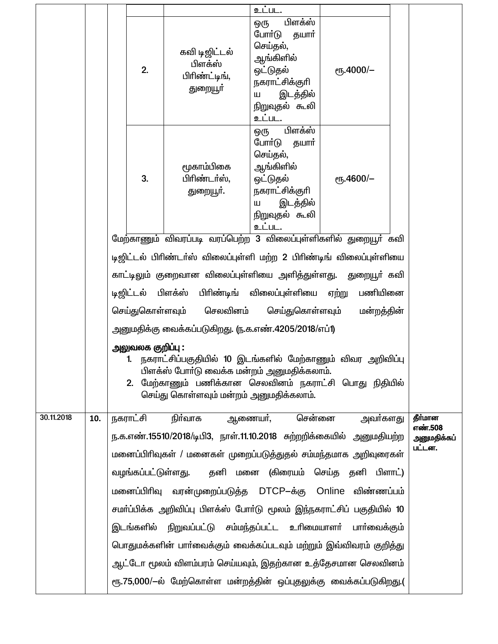|            |     |                                                                       |                   |                                                                                                                                                                                                                 | உட்பட.                                                                                                                                |                  |  |                    |
|------------|-----|-----------------------------------------------------------------------|-------------------|-----------------------------------------------------------------------------------------------------------------------------------------------------------------------------------------------------------------|---------------------------------------------------------------------------------------------------------------------------------------|------------------|--|--------------------|
|            |     |                                                                       | 2.                | கவி டிஜிட்டல்<br>பிளக்ஸ்<br>பிரிண்ட்டிங்,<br>துறையூர்                                                                                                                                                           | பிளக்ஸ்<br>ஒரு<br>போர்டு<br>தயார்<br>செய்தல்,<br>ஆங்கிளில்<br>ஒட்டுதல்<br>நகராட்சிக்குரி<br>இடத்தில்<br>Ш<br>நிறுவுதல் கூலி<br>உட்பட. | еҧ.4000/-        |  |                    |
|            |     |                                                                       | 3.                | மூகாம்பிகை<br>பிரிண்டர்ஸ்,<br>துறையூா்.                                                                                                                                                                         | பிளக்ஸ்<br>ஒரு<br>போர்டு<br>தயார்<br>செய்தல்,<br>ஆங்கிளில்<br>ஒட்டுதல்<br>நகராட்சிக்குரி<br>இடத்தில்<br>Ш<br>நிறுவுதல் கூலி<br>உட்பட. | еҧ.4600/-        |  |                    |
|            |     |                                                                       |                   | மேற்காணும் விவரப்படி வரப்பெற்ற 3 விலைப்புள்ளிகளில் துறையூா் கவி                                                                                                                                                 |                                                                                                                                       |                  |  |                    |
|            |     |                                                                       |                   | டிஜிட்டல் பிரிண்டா்ஸ் விலைப்புள்ளி மற்ற 2 பிரிண்டிங் விலைப்புள்ளியை                                                                                                                                             |                                                                                                                                       |                  |  |                    |
|            |     |                                                                       |                   | காட்டிலும் குறைவான விலைப்புள்ளியை அளித்துள்ளது. துறையூா் கவி                                                                                                                                                    |                                                                                                                                       |                  |  |                    |
|            |     |                                                                       | டிஜிட்டல்         | பிளக்ஸ்                                                                                                                                                                                                         | பிரிண்டிங் விலைப்புள்ளியை                                                                                                             | ஏற்று<br>பணியினை |  |                    |
|            |     |                                                                       | செய்துகொள்ளவும்   | செலவினம்                                                                                                                                                                                                        | செய்துகொள்ளவும்                                                                                                                       | மன்றத்தின்       |  |                    |
|            |     |                                                                       |                   | அனுமதிக்கு வைக்கப்படுகிறது. (ந.க.எண்.4205/2018/எப்1)                                                                                                                                                            |                                                                                                                                       |                  |  |                    |
|            |     |                                                                       | அலுவலக குறிப்பு : | 1. நகராட்சிப்பகுதியில் 10 இடங்களில் மேற்காணும் விவர அறிவிப்பு<br>பிளக்ஸ் போா்டு வைக்க மன்றம் அனுமதிக்கலாம்.<br>2. மேற்காணும் பணிக்கான செலவினம் நகராட்சி பொது நிதியில்<br>செய்து கொள்ளவும் மன்றம் அனுமதிக்கலாம். |                                                                                                                                       |                  |  |                    |
| 30.11.2018 | 10. |                                                                       | நகராட்சி          | நிா்வாக ஆணையா், சென்னை                                                                                                                                                                                          |                                                                                                                                       | அவா்களது         |  | தீர்மான<br>எண்.508 |
|            |     |                                                                       |                   | ந.க.எண்.15510/2018/டிபி3, நாள்.11.10.2018 சுற்றறிக்கையில் அனுமதியற்ற                                                                                                                                            |                                                                                                                                       |                  |  | அனுமதிக்கப்        |
|            |     |                                                                       |                   | மனைப்பிரிவுகள் / மனைகள் முறைப்படுத்துதல் சம்மந்தமாக அறிவுரைகள்                                                                                                                                                  |                                                                                                                                       |                  |  | பட்டன.             |
|            |     |                                                                       |                   | வழங்கப்பட்டுள்ளது. தனி மனை (கிரையம் செய்த தனி பிளாட்)                                                                                                                                                           |                                                                                                                                       |                  |  |                    |
|            |     |                                                                       |                   | மனைப்பிரிவு வரன்முறைப்படுத்த DTCP–க்கு Online விண்ணப்பம்                                                                                                                                                        |                                                                                                                                       |                  |  |                    |
|            |     | சமா்ப்பிக்க அறிவிப்பு பிளக்ஸ் போா்டு மூலம் இந்நகராட்சிப் பகுதியில் 10 |                   |                                                                                                                                                                                                                 |                                                                                                                                       |                  |  |                    |
|            |     |                                                                       |                   | இடங்களில் நிறுவப்பட்டு சம்மந்தப்பட்ட உரிமையாளா் பாா்வைக்கும்                                                                                                                                                    |                                                                                                                                       |                  |  |                    |
|            |     |                                                                       |                   | பொதுமக்களின் பாா்வைக்கும் வைக்கப்படவும் மற்றும் இவ்விவரம் குறித்து                                                                                                                                              |                                                                                                                                       |                  |  |                    |
|            |     |                                                                       |                   | ஆட்டோ மூலம் விளம்பரம் செய்யவும், இதற்கான உத்தேசமான செலவினம்                                                                                                                                                     |                                                                                                                                       |                  |  |                    |
|            |     |                                                                       |                   | ரூ.75,000/-ல் மேற்கொள்ள மன்றத்தின் ஒப்புதலுக்கு வைக்கப்படுகிறது.(                                                                                                                                               |                                                                                                                                       |                  |  |                    |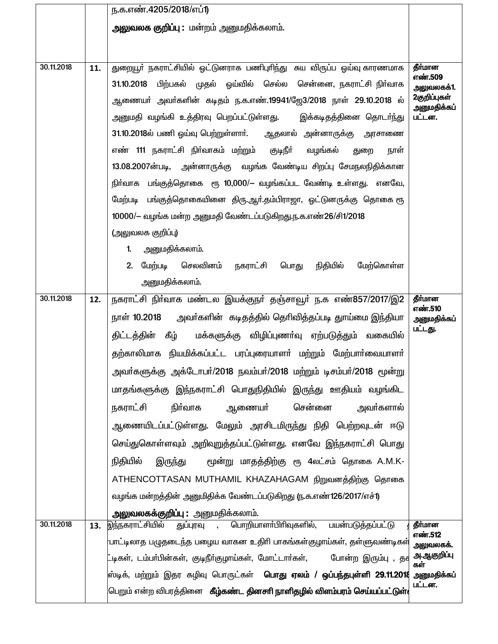|            |     | ந.க.எண்.4205/2018/எப்1)                                                                                    |                            |
|------------|-----|------------------------------------------------------------------------------------------------------------|----------------------------|
|            |     | அலுவலக குறிப்பு: மன்றம் அனுமதிக்கலாம்.                                                                     |                            |
|            |     |                                                                                                            |                            |
| 30.11.2018 | 11. | துறையூா் நகராட்சியில் ஒட்டுனராக பணிபுாிந்து சுய விருப்ப ஓய்வு காரணமாக                                      | தீர்மான                    |
|            |     | 31.10.2018 பிற்பகல் முதல் ஓய்வில் செல்ல சென்னை, நகராட்சி நிர்வாக                                           | எண்.509                    |
|            |     | ஆணையா் அவா்களின் கடிதம் ந.க.எண்.19941/ஜே3/2018 நாள் 29.10.2018 ல்                                          | அலுவலகக்1.<br>2குறிப்புகள் |
|            |     | அனுமதி வழங்கி உத்திரவு பெறப்பட்டுள்ளது.    இக்கடிதத்தினை தொடா்ந்து                                         | அனுமதிக்கப்<br>பட்டன.      |
|            |     | 31.10.2018ல் பணி ஓய்வு பெற்றுள்ளார். ஆதலால் அன்னாருக்கு அரசாணை                                             |                            |
|            |     | எண் 111 நகராட்சி நிா்வாகம் மற்றும்  குடிநீா்<br>வழங்கல் துறை<br>நாள்                                       |                            |
|            |     | 13.08.2007ன்படி, அன்னாருக்கு வழங்க வேண்டிய சிறப்பு சேமநலநிதிக்கான                                          |                            |
|            |     | நிா்வாக பங்குத்தொகை ரூ 10,000/– வழங்கப்பட வேண்டி உள்ளது. எனவே,                                             |                            |
|            |     | மேற்படி   பங்குத்தொகையினை  திரு.ஆா்.தம்பிராஜா,  ஓட்டுனருக்கு  தொகை ரூ                                      |                            |
|            |     | 10000/- வழங்க மன்ற அனுமதி வேண்டப்படுகிறது.ந.க.எண்26/சி1/2018                                               |                            |
|            |     | (அலுவலக குறிப்பு)                                                                                          |                            |
|            |     | அனுமதிக்கலாம்.<br>1 <sub>1</sub>                                                                           |                            |
|            |     | 2. மேற்படி செலவினம் நகராட்சி பொது நிதியில்<br>மேற்கொள்ள                                                    |                            |
|            |     | அனுமதிக்கலாம்.                                                                                             |                            |
| 30.11.2018 | 12. | நகராட்சி நிா்வாக மண்டல இயக்குநா் தஞ்சாவூா் ந.க எண்857/2017/இ2                                              | தீர்மான<br>எண்.510         |
|            |     | நாள் 10.2018     அவா்களின்  கடிதத்தில் தொிவித்தப்படி துாய்மை இந்தியா                                       | அனுமதிக்கப்                |
|            |     | திட்டத்தின் கீழ்<br>மக்களுக்கு விழிப்புணா்வு ஏற்படுத்தும் வகையில்                                          | பட்டது.                    |
|            |     | தற்காலிமாக நியமிக்கப்பட்ட பரப்புரையாளர் மற்றும் மேற்பார்வையாளர்                                            |                            |
|            |     | அவா்களுக்கு அக்டோபா்/2018 நவம்பா்/2018 மற்றும் டிசம்பா்/2018 மூன்று                                        |                            |
|            |     | மாதங்களுக்கு இந்நகராட்சி பொதுநிதியில் இருந்து ஊதியம் வழங்கிட                                               |                            |
|            |     | சென்னை<br>நிர்வாக<br>ஆணையா்<br>அவா்களால்<br>நகராட்சி                                                       |                            |
|            |     | ஆணையிடப்பட்டுள்ளது. மேலும் அரசிடமிருந்து நிதி பெற்றவுடன் ஈடு                                               |                            |
|            |     | செய்துகொள்ளவும் அறிவுறுத்தப்பட்டுள்ளது. எனவே இந்நகராட்சி பொது                                              |                            |
|            |     | மூன்று மாதத்திற்கு ரூ 4லட்சம் தொகை A.M.K-<br>நிதியில்<br>இருந்து                                           |                            |
|            |     | ATHENCOTTASAN MUTHAMIL KHAZAHAGAM நிறுவனத்திற்கு தொகை                                                      |                            |
|            |     | வழங்க மன்றத்தின் அனுமிதிக்க வேண்டப்படுகிறது ரு.க.எண்126/2017/எச்1)                                         |                            |
|            |     | <b>அலுவலகக்குறிப்பு :</b> அனுமதிக்கலாம்.                                                                   |                            |
| 30.11.2018 | 13. | <u>இந்நகராட்சியில்</u><br>பொறியாளா்பிாிவுகளில், பயன்படுத்தப்பட்டு<br>துப்புரவு<br>$\overline{\phantom{a}}$ | தீர்மான<br>எண்.512         |
|            |     | .<br>பாட்டிலாத பழுதடைந்த பழைய வாகன உதிரி பாகங்கள்குழாய்கள், தள்ளுவண்டிகள்                                  | அலுவலகக்.                  |
|            |     | ட்டிகள், டம்பா்பின்கள், குடிநீா்குழாய்கள், மோட்டாா்கள்,<br>போன்ற இரும்பு , தச                              | அ.ஆகுறிப்பு<br>கள்         |
|            |     | <mark>ஸ்டிக், மற்றும் இதர கழிவு பொருட்கள்  <b>பொது ஏலம் / ஒப்பந்தபுள்ளி 29.11.201</b>8</mark>              | அனுமதிக்கப்<br>பட்டன.      |
|            |     | பெறும் என்ற விபரத்தினை <b>கீழ்கண்ட தினசாி நாளிதழில் விளம்பரம் செய்யப்பட்டுள்</b> (                         |                            |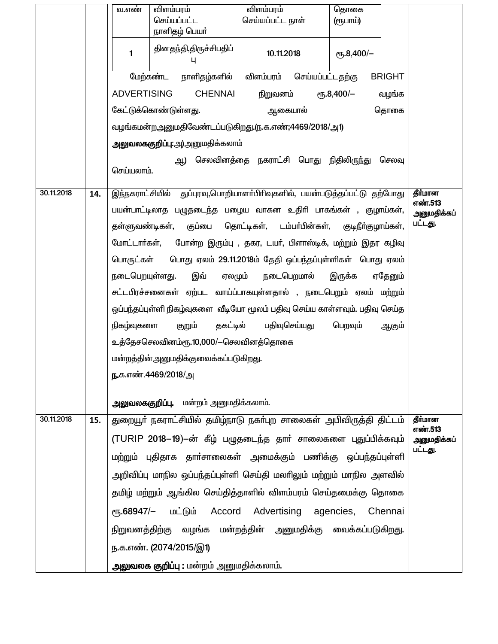|            |                                                                                     | வ.எண்                                                                        | விளம்பரம்<br>செய்யப்பட்ட<br>நாளிதழ் பெயர் | விளம்பரம்<br>செய்யப்பட்ட நாள்                                              | தொகை<br>(ரூபாய்)               |                        |  |  |  |  |
|------------|-------------------------------------------------------------------------------------|------------------------------------------------------------------------------|-------------------------------------------|----------------------------------------------------------------------------|--------------------------------|------------------------|--|--|--|--|
|            |                                                                                     | $\mathbf{1}$                                                                 | தினதந்தி,திருச்சிபதிப்                    | 10.11.2018                                                                 | еҧ.8,400/-                     |                        |  |  |  |  |
|            |                                                                                     |                                                                              | மேற்கண்ட<br>நாளிதழ்களில்                  | விளம்பரம்<br>செய்யப்பட்டதற்கு                                              | <b>BRIGHT</b>                  |                        |  |  |  |  |
|            |                                                                                     | <b>ADVERTISING</b>                                                           | <b>CHENNAI</b>                            | நிறுவனம்                                                                   | $\epsilon$ Гђ.8,400/-<br>வழங்க |                        |  |  |  |  |
|            |                                                                                     |                                                                              | கேட்டுக்கொண்டுள்ளது.                      | ஆகையால்                                                                    | தொகை                           |                        |  |  |  |  |
|            |                                                                                     |                                                                              |                                           | வழங்கமன்றஅனுமதிவேண்டப்படுகிறது.(ந.க.எண்;4469/2018/அ1)                      |                                |                        |  |  |  |  |
|            |                                                                                     | அலுவலககுறிப்பு:அ)அனுமதிக்கலாம்                                               |                                           |                                                                            |                                |                        |  |  |  |  |
|            |                                                                                     | ஆ) செலவினத்தை நகராட்சி பொது நிதிலிருந்து<br>செலவு<br>செய்யலாம்.              |                                           |                                                                            |                                |                        |  |  |  |  |
| 30.11.2018 | 14.                                                                                 |                                                                              |                                           | இந்நகராட்சியில் துப்புரவு,பொறியாளா்பிரிவுகளில், பயன்படுத்தப்பட்டு தற்போது  |                                | தீர்மான<br>எண்.513     |  |  |  |  |
|            |                                                                                     | பயன்பாட்டிலாத பழுதடைந்த பழைய வாகன உதிரி பாகங்கள் , குழாய்கள்,<br>அனுமதிக்கப் |                                           |                                                                            |                                |                        |  |  |  |  |
|            | பட்டது.<br>குப்பை தொட்டிகள், டம்பா்பின்கள்,<br>தள்ளுவண்டிகள்,<br>குடிநீா்குழாய்கள், |                                                                              |                                           |                                                                            |                                |                        |  |  |  |  |
|            |                                                                                     | போன்ற இரும்பு , தகர, டயா், பிளாஸ்டிக், மற்றும் இதர கழிவு<br>மோட்டார்கள்,     |                                           |                                                                            |                                |                        |  |  |  |  |
|            |                                                                                     | பொது ஏலம் 29.11.2018ம் தேதி ஒப்பந்தப்புள்ளிகள் பொது ஏலம்<br>பொருட்கள்        |                                           |                                                                            |                                |                        |  |  |  |  |
|            | இவ்<br>நடைபெறயுள்ளது.<br>ஏலமும்<br>நடைபெறமால்<br>ஏதேனும்<br>இருக்க                  |                                                                              |                                           |                                                                            |                                |                        |  |  |  |  |
|            |                                                                                     |                                                                              |                                           | சட்டபிரச்சனைகள் ஏற்பட வாய்ப்பாகயுள்ளதால் , நடைபெறும் ஏலம் மற்றும்          |                                |                        |  |  |  |  |
|            |                                                                                     |                                                                              |                                           | ஒப்பந்தப்புள்ளி நிகழ்வுகளை வீடியோ மூலம் பதிவு செய்ய காள்ளவும். பதிவு செய்த |                                |                        |  |  |  |  |
|            |                                                                                     | நிகழ்வுகளை                                                                   | தகட்டில்<br>குறும்                        | பதிவுசெய்யது                                                               | பெறவும்<br>ஆகும்               |                        |  |  |  |  |
|            |                                                                                     |                                                                              | உத்தேசசெலவினம்ரூ.10,000/—செலவினத்தொகை     |                                                                            |                                |                        |  |  |  |  |
|            |                                                                                     |                                                                              | மன்றத்தின்அனுமதிக்குவைக்கப்படுகிறது.      |                                                                            |                                |                        |  |  |  |  |
|            |                                                                                     |                                                                              | ந.க.எண்.4469/2018/அ                       |                                                                            |                                |                        |  |  |  |  |
|            |                                                                                     |                                                                              | அலுவலககுறிப்பு. மன்றம் அனுமதிக்கலாம்.     |                                                                            |                                |                        |  |  |  |  |
| 30.11.2018 | 15.                                                                                 |                                                                              |                                           | துறையூா் நகராட்சியில் தமிழ்நாடு நகா்புற சாலைகள் அபிவிருத்தி திட்டம்        |                                | தீர்மான<br>எண்.513     |  |  |  |  |
|            |                                                                                     |                                                                              |                                           | (TURIP 2018–19)–ன் கீழ் பழுதடைந்த தார் சாலைகளை புதுப்பிக்கவும்             |                                | அனுமதிக்கப்<br>பட்டது. |  |  |  |  |
|            |                                                                                     |                                                                              |                                           | மற்றும் புதிதாக தாா்சாலைகள் அமைக்கும் பணிக்கு ஒப்பந்தப்புள்ளி              |                                |                        |  |  |  |  |
|            |                                                                                     |                                                                              |                                           | அறிவிப்பு மாநில ஒப்பந்தப்புள்ளி செய்தி மலாிலும் மற்றும் மாநில அளவில்       |                                |                        |  |  |  |  |
|            |                                                                                     |                                                                              |                                           | தமிழ் மற்றும் ஆங்கில செய்தித்தாளில் விளம்பரம் செய்தமைக்கு தொகை             |                                |                        |  |  |  |  |
|            |                                                                                     |                                                                              |                                           | ரூ.68947/- மட்டும் Accord Advertising agencies, Chennai                    |                                |                        |  |  |  |  |
|            |                                                                                     |                                                                              |                                           | நிறுவனத்திற்கு வழங்க மன்றத்தின் அனுமதிக்கு வைக்கப்படுகிறது.                |                                |                        |  |  |  |  |
|            |                                                                                     |                                                                              | ந.க.எண். (2074/2015/இ1)                   |                                                                            |                                |                        |  |  |  |  |
|            |                                                                                     |                                                                              | அலுவலக குறிப்பு : மன்றம் அனுமதிக்கலாம்.   |                                                                            |                                |                        |  |  |  |  |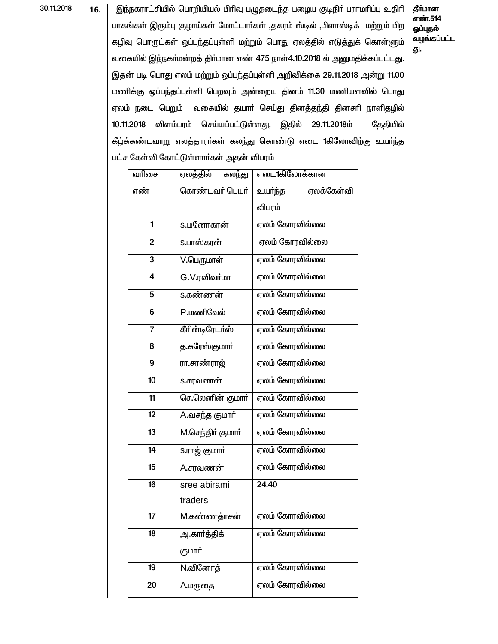| 30.11.2018 | 16. | இந்நகராட்சியில் பொறியியல் பிரிவு பழுதடைந்த பழைய குடிநிர் பராமரிப்பு உதிரி    |                                         |                                                                           |          |                    |  |  |  |
|------------|-----|------------------------------------------------------------------------------|-----------------------------------------|---------------------------------------------------------------------------|----------|--------------------|--|--|--|
|            |     | பாகங்கள் இரும்பு குழாய்கள் மோட்டாா்கள் ,தகரம் ஸ்டில் ,பிளாஸ்டிக் மற்றும் பிற |                                         |                                                                           |          |                    |  |  |  |
|            |     |                                                                              |                                         | கழிவு பொருட்கள் ஒப்பந்தப்புள்ளி மற்றும் பொது ஏலத்தில் எடுத்துக் கொள்ளும்  |          | வழங்கப்பட்ட<br>து. |  |  |  |
|            |     |                                                                              |                                         | வகையில் இந்நகா்மன்றத் திா்மான எண் 475 நாள்4.10.2018 ல் அனுமதிக்கப்பட்டது. |          |                    |  |  |  |
|            |     | இதன் படி பொது எலம் மற்றும் ஒப்பந்தப்புள்ளி அறிவிக்கை 29.11.2018 அன்று 11.00  |                                         |                                                                           |          |                    |  |  |  |
|            |     | மணிக்கு ஒப்பந்தப்புள்ளி பெறவும் அன்றைய தினம் 11.30 மணியளவில் பொது            |                                         |                                                                           |          |                    |  |  |  |
|            |     | ஏலம் நடை பெறும் வகையில் தயாா் செய்து தினத்தந்தி தினசாி நாளிதழில்             |                                         |                                                                           |          |                    |  |  |  |
|            |     | 10.11.2018                                                                   |                                         | விளம்பரம் செய்யப்பட்டுள்ளது, இதில் 29.11.2018ம்                           | தேதியில் |                    |  |  |  |
|            |     |                                                                              |                                         | கீழ்க்கண்டவாறு ஏலத்தாரா்கள் கலந்து கொண்டு எடை 1கிலோவிற்கு உயா்ந்த         |          |                    |  |  |  |
|            |     |                                                                              | பட்ச கேள்வி கோட்டுள்ளார்கள் அதன் விபரம் |                                                                           |          |                    |  |  |  |
|            |     | வரிசை                                                                        | ஏலத்தில்<br>கலந்து                      | எடை1கிலோக்கான                                                             |          |                    |  |  |  |
|            |     | எண்                                                                          | கொண்டவா் பெயா்                          | ஏலக்கேள்வி<br>உயர்ந்த                                                     |          |                    |  |  |  |
|            |     |                                                                              |                                         | விபரம்                                                                    |          |                    |  |  |  |
|            |     | $\blacksquare$                                                               | <b>S.மனோகரன்</b>                        | ஏலம் கோரவில்லை                                                            |          |                    |  |  |  |
|            |     | $\overline{2}$                                                               | S.பாஸ்கரன்                              | ஏலம் கோரவில்லை                                                            |          |                    |  |  |  |
|            |     | $\mathbf 3$                                                                  | $V$ .பெருமாள்                           | ஏலம் கோரவில்லை                                                            |          |                    |  |  |  |
|            |     | ஏலம் கோரவில்லை<br>G.V.ரவிவர்மா<br>$\overline{4}$                             |                                         |                                                                           |          |                    |  |  |  |
|            |     | 5                                                                            | S.கண்ணன்                                | ஏலம் கோரவில்லை                                                            |          |                    |  |  |  |
|            |     | $\bf 6$                                                                      | P.மணிவேல்                               | ஏலம் கோரவில்லை                                                            |          |                    |  |  |  |
|            |     | $\overline{7}$                                                               | கீரின்டிரேடர்ஸ்                         | ஏலம் கோரவில்லை                                                            |          |                    |  |  |  |
|            |     | 8                                                                            | த.சுரேஸ்குமார்                          | ஏலம் கோரவில்லை                                                            |          |                    |  |  |  |
|            |     | 9                                                                            | ரா.சரண்ராஜ்                             | ஏலம் கோரவில்லை                                                            |          |                    |  |  |  |
|            |     | 10                                                                           | S.சரவணன்                                | எலம் கோரவில்லை                                                            |          |                    |  |  |  |
|            |     | 11                                                                           | செ.லெனின் குமார்                        | ஏலம் கோரவில்லை                                                            |          |                    |  |  |  |
|            |     | 12                                                                           | A.வசந்த குமார்                          | ஏலம் கோரவில்லை                                                            |          |                    |  |  |  |
|            |     | 13                                                                           | M.செந்திர் குமார்                       | ஏலம் கோரவில்லை                                                            |          |                    |  |  |  |
|            |     | 14                                                                           | S.ராஜ் குமார்                           | ஏலம் கோரவில்லை                                                            |          |                    |  |  |  |
|            |     | 15                                                                           | A.சரவணன்                                | ஏலம் கோரவில்லை                                                            |          |                    |  |  |  |
|            |     | 16                                                                           | sree abirami                            | 24.40                                                                     |          |                    |  |  |  |
|            |     | traders                                                                      |                                         |                                                                           |          |                    |  |  |  |
|            |     | ஏலம் கோரவில்லை<br>17<br><b>M</b> .கண்ணத்ாசன்                                 |                                         |                                                                           |          |                    |  |  |  |
|            |     | 18                                                                           | அ.காா்த்திக்                            | ஏலம் கோரவில்லை                                                            |          |                    |  |  |  |
|            |     | குமார்                                                                       |                                         |                                                                           |          |                    |  |  |  |
|            |     | 19                                                                           | N.வினோத்                                | ஏலம் கோரவில்லை                                                            |          |                    |  |  |  |
|            |     | 20                                                                           | <b>A.மருதை</b>                          | ஏலம் கோரவில்லை                                                            |          |                    |  |  |  |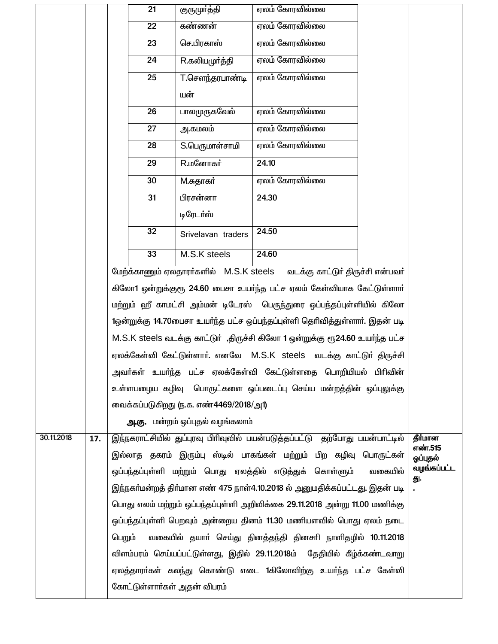|            |     |                                                                         | 21                                                                           | குருமா்த்தி                            | ஏலம் கோரவில்லை                                                               |         |                    |  |
|------------|-----|-------------------------------------------------------------------------|------------------------------------------------------------------------------|----------------------------------------|------------------------------------------------------------------------------|---------|--------------------|--|
|            |     |                                                                         | 22                                                                           | கண்ணன்                                 | ஏலம் கோரவில்லை                                                               |         |                    |  |
|            |     |                                                                         | 23                                                                           | செ.பிரகாஸ்                             | ஏலம் கோரவில்லை                                                               |         |                    |  |
|            |     |                                                                         | 24                                                                           | R.கலியமுர்த்தி                         | ஏலம் கோரவில்லை                                                               |         |                    |  |
|            |     |                                                                         | 25                                                                           | T.சௌந்தரபாண்டி                         | ஏலம் கோரவில்லை                                                               |         |                    |  |
|            |     |                                                                         |                                                                              | யன்                                    |                                                                              |         |                    |  |
|            |     |                                                                         | 26                                                                           | பாலமுருகவேல்                           | ஏலம் கோரவில்லை                                                               |         |                    |  |
|            |     |                                                                         | 27                                                                           | அ.கமலம்                                | ஏலம் கோரவில்லை                                                               |         |                    |  |
|            |     |                                                                         | 28                                                                           | S.பெருமாள்சாமி                         | ஏலம் கோரவில்லை                                                               |         |                    |  |
|            |     |                                                                         | 29                                                                           | <b>R.</b> மனோகர்                       | 24.10                                                                        |         |                    |  |
|            |     |                                                                         | 30                                                                           | M.சுதாகர்                              | ஏலம் கோரவில்லை                                                               |         |                    |  |
|            |     |                                                                         | 31                                                                           | பிரசன்னா                               | 24.30                                                                        |         |                    |  |
|            |     |                                                                         |                                                                              | டிரேடர்ஸ்                              |                                                                              |         |                    |  |
|            |     |                                                                         | 32                                                                           | Srivelavan traders                     | 24.50                                                                        |         |                    |  |
|            |     |                                                                         | 33                                                                           | M.S.K steels                           | 24.60                                                                        |         |                    |  |
|            |     |                                                                         | மேற்க்காணும் ஏலதாரர்களில் M.S.K steels<br>வடக்கு காட்டுர் திருச்சி என்பவர்   |                                        |                                                                              |         |                    |  |
|            |     |                                                                         | கிலோ1 ஒன்றுக்குரூ 24.60 பைசா உயர்ந்த பட்ச ஏலம் கேள்வியாக கேட்டுள்ளார்        |                                        |                                                                              |         |                    |  |
|            |     |                                                                         | மற்றும் ஹீ காமட்சி அம்மன் டிடேரஸ்  பெருந்துரை ஒப்பந்தப்புள்ளியில் கிலோ       |                                        |                                                                              |         |                    |  |
|            |     |                                                                         | 1ஒன்றுக்கு 14.70பைசா உயர்ந்த பட்ச ஒப்பந்தப்புள்ளி தெரிவித்துள்ளார். இதன் படி |                                        |                                                                              |         |                    |  |
|            |     |                                                                         |                                                                              |                                        | M.S.K steels வடக்கு காட்டுர் ,திருச்சி கிலோ 1 ஒன்றுக்கு ரூ24.60 உயர்ந்த பட்ச |         |                    |  |
|            |     |                                                                         |                                                                              |                                        | ஏலக்கேள்வி கேட்டுள்ளார். எனவே M.S.K steels வடக்கு காட்டுர் திருச்சி          |         |                    |  |
|            |     |                                                                         |                                                                              |                                        | அவா்கள் உயா்ந்த பட்ச ஏலக்கேள்வி கேட்டுள்ளதை பொறியியல் பிாிவின்               |         |                    |  |
|            |     |                                                                         |                                                                              |                                        | உள்ளபழைய கழிவு பொருட்களை ஒப்படைப்பு செய்ய மன்றத்தின் ஒப்பலுக்கு              |         |                    |  |
|            |     |                                                                         |                                                                              | வைக்கப்படுகிறது ரு.க. எண்4469/2018/அ1) |                                                                              |         |                    |  |
|            |     |                                                                         |                                                                              | அ.கு. மன்றம் ஒப்புதல் வழங்கலாம்        |                                                                              |         |                    |  |
| 30.11.2018 | 17. |                                                                         |                                                                              |                                        | இந்நகராட்சியில் துப்புரவு பிரிவுவில் பயன்படுத்தப்பட்டு தற்போது பயன்பாட்டில்  |         | தீர்மான<br>எண்.515 |  |
|            |     |                                                                         |                                                                              |                                        | இல்லாத தகரம் இரும்பு ஸ்டில் பாகங்கள் மற்றும் பிற கழிவு பொருட்கள்             |         | ஒப்புதல்           |  |
|            |     |                                                                         |                                                                              |                                        | ஒப்பந்தப்புள்ளி மற்றும் பொது ஏலத்தில் எடுத்துக் கொள்ளும்                     | வகையில் | வழங்கப்பட்ட<br>து. |  |
|            |     |                                                                         |                                                                              |                                        | இந்நகா்மன்றத் திா்மான எண் 475 நாள்4.10.2018 ல் அனுமதிக்கப்பட்டது. இதன் படி   |         |                    |  |
|            |     |                                                                         |                                                                              |                                        | பொது எலம் மற்றும் ஒப்பந்தப்புள்ளி அறிவிக்கை 29.11.2018 அன்று 11.00 மணிக்கு   |         |                    |  |
|            |     |                                                                         |                                                                              |                                        | ஒப்பந்தப்புள்ளி பெறவும் அன்றைய தினம் 11.30 மணியளவில் பொது ஏலம் நடை           |         |                    |  |
|            |     | பெறும்                                                                  |                                                                              |                                        | வகையில் தயாா் செய்து தினத்தந்தி தினசாி நாளிதழில் 10.11.2018                  |         |                    |  |
|            |     | விளம்பரம் செய்யப்பட்டுள்ளது, இதில் 29.11.2018ம் தேதியில் கீழ்க்கண்டவாறு |                                                                              |                                        |                                                                              |         |                    |  |
|            |     |                                                                         |                                                                              |                                        | ஏலத்தாரா்கள் கலந்து கொண்டு எடை 1கிலோவிற்கு உயா்ந்த பட்ச கேள்வி               |         |                    |  |
|            |     |                                                                         |                                                                              | கோட்டுள்ளார்கள் அதன் விபரம்            |                                                                              |         |                    |  |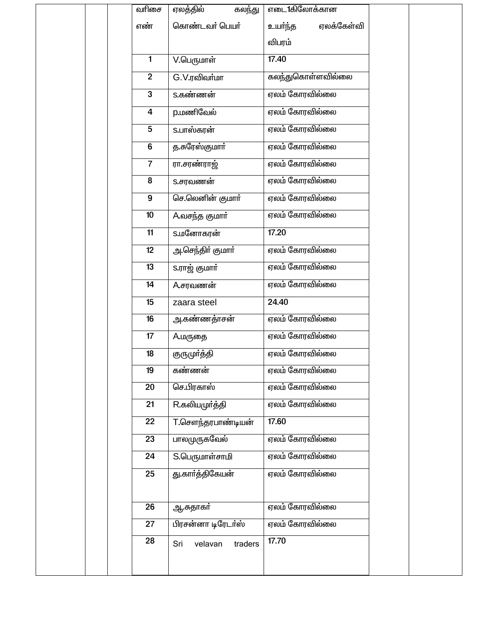|  | வரிசை          | ஏலத்தில்<br>கலந்து        | எடை1கிலோக்கான         |  |
|--|----------------|---------------------------|-----------------------|--|
|  | எண்            | கொண்டவர் பெயர்            | உயா்ந்த<br>ஏலக்கேள்வி |  |
|  |                |                           | விபரம்                |  |
|  | 1              | $V$ .பெருமாள்             | 17.40                 |  |
|  | $\overline{2}$ | G.V.ரவிவர்மா              | கலந்துகொள்ளவில்லை     |  |
|  | 3              | S.கண்ணன்                  | ஏலம் கோரவில்லை        |  |
|  | 4              | <b>p.மணிவேல்</b>          | ஏலம் கோரவில்லை        |  |
|  | 5              | S.பாஸ்கரன்                | ஏலம் கோரவில்லை        |  |
|  | 6              | த.சுரேஸ்குமார்            | ஏலம் கோரவில்லை        |  |
|  | $\overline{7}$ | ரா.சரண்ராஜ்               | ஏலம் கோரவில்லை        |  |
|  | 8              | S.சரவணன்                  | ஏலம் கோரவில்லை        |  |
|  | 9              | செ.லெனின் குமார்          | ஏலம் கோரவில்லை        |  |
|  | 10             | A.வசந்த குமார்            | ஏலம் கோரவில்லை        |  |
|  | 11             | <b>S.மனோகரன்</b>          | 17.20                 |  |
|  | 12             | அ.செந்திர் குமார்         | ஏலம் கோரவில்லை        |  |
|  | 13             | s.ராஜ் குமார்             | ஏலம் கோரவில்லை        |  |
|  | 14             | A.சரவணன்                  | ஏலம் கோரவில்லை        |  |
|  | 15             | zaara steel               | 24.40                 |  |
|  | 16             | <u>அ</u> .கண்ணத்ாசன்      | ஏலம் கோரவில்லை        |  |
|  | 17             | <b>A.மருதை</b>            | ஏலம் கோரவில்லை        |  |
|  | 18             | குருமுா்த்தி              | ஏலம் கோரவில்லை        |  |
|  | 19             | கணணன                      | ஏலம் கோரவில்லை        |  |
|  | 20             | செ.பிரகாஸ்                | ஏலம் கோரவில்லை        |  |
|  | 21             | R.கலியமுர்த்தி            | ஏலம் கோரவில்லை        |  |
|  | 22             | <b>T.</b> சௌந்தரபாண்டியன் | 17.60                 |  |
|  | 23             | பாலமுருகவேல்              | ஏலம் கோரவில்லை        |  |
|  | 24             | S.பெருமாள்சாமி            | ஏலம் கோரவில்லை        |  |
|  | 25             | து.காா்த்திகேயன்          | ஏலம் கோரவில்லை        |  |
|  |                |                           |                       |  |
|  | 26             | ஆ.சுதாகர்                 | ஏலம் கோரவில்லை        |  |
|  | 27             | பிரசன்னா டிரேடர்ஸ்        | ஏலம் கோரவில்லை        |  |
|  | 28             | Sri<br>velavan<br>traders | 17.70                 |  |
|  |                |                           |                       |  |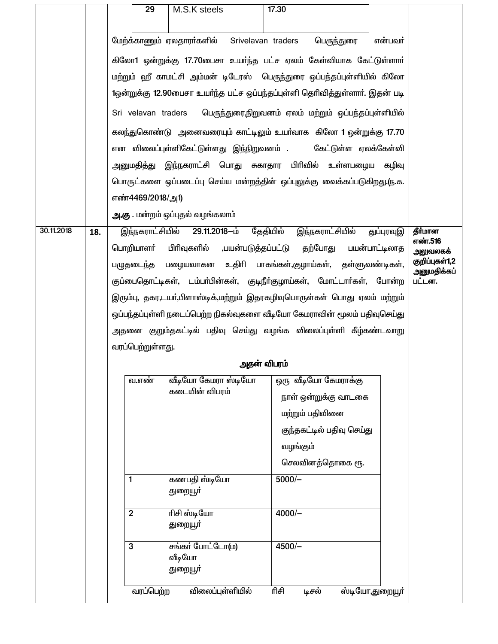|            |     | 29                                                                       | M.S.K steels                                                                             | 17.30                                                                   |                           |                 |         |  |  |  |
|------------|-----|--------------------------------------------------------------------------|------------------------------------------------------------------------------------------|-------------------------------------------------------------------------|---------------------------|-----------------|---------|--|--|--|
|            |     |                                                                          |                                                                                          |                                                                         |                           |                 |         |  |  |  |
|            |     |                                                                          | மேற்க்காணும் ஏலதாரா்களில்                                                                | Srivelavan traders                                                      | பெருந்துரை                | என்பவர்         |         |  |  |  |
|            |     |                                                                          |                                                                                          | கிலோ1 ஒன்றுக்கு 17.70பைசா உயர்ந்த பட்ச ஏலம் கேள்வியாக கேட்டுள்ளார்      |                           |                 |         |  |  |  |
|            |     |                                                                          | மற்றும் ஹீ காமட்சி அம்மன் டிடேரஸ்  பெருந்துரை ஒப்பந்தப்புள்ளியில் கிலோ                   |                                                                         |                           |                 |         |  |  |  |
|            |     |                                                                          | 1ஒன்றுக்கு 12.90பைசா உயர்ந்த பட்ச ஒப்பந்தப்புள்ளி தெரிவித்துள்ளார். இதன் படி             |                                                                         |                           |                 |         |  |  |  |
|            |     | Sri velavan traders                                                      |                                                                                          | பெருந்துரை,நிறுவனம் ஏலம் மற்றும் ஒப்பந்தப்புள்ளியில்                    |                           |                 |         |  |  |  |
|            |     |                                                                          |                                                                                          | கலந்துகொண்டு அனைவரையும் காட்டிலும் உயா்வாக கிலோ 1 ஒன்றுக்கு 17.70       |                           |                 |         |  |  |  |
|            |     |                                                                          |                                                                                          | என விலைப்புள்ளிகேட்டுள்ளது இந்நிறுவனம் .     கேட்டுள்ள ஏலக்கேள்வி       |                           |                 |         |  |  |  |
|            |     |                                                                          |                                                                                          | அனுமதித்து இந்நகராட்சி பொது சுகாதார பிரிவில் உள்ளபழைய கழிவு             |                           |                 |         |  |  |  |
|            |     |                                                                          |                                                                                          | பொருட்களை ஒப்படைப்பு செய்ய மன்றத்தின் ஒப்புலுக்கு வைக்கப்படுகிறது.ரு.க. |                           |                 |         |  |  |  |
|            |     | எண்4469/2018/அ1)                                                         |                                                                                          |                                                                         |                           |                 |         |  |  |  |
|            |     |                                                                          | <b>அ.கு</b> . மன்றம் ஒப்புதல் வழங்கலாம்                                                  |                                                                         |                           |                 |         |  |  |  |
| 30.11.2018 | 18. |                                                                          | இந்நகராட்சியில் 29.11.2018-ம்                                                            | தேதியில்                                                                | இந்நகராட்சியில்           | துப்புரவுஇ      | தீர்மான |  |  |  |
|            |     |                                                                          | எண்.516<br>பொறியாளா் பிாிவுகளில்<br>,பயன்படுத்தப்பட்டு தற்போது பயன்பாட்டிலாத<br>அலுவலகக் |                                                                         |                           |                 |         |  |  |  |
|            |     |                                                                          | பழுதடைந்த பழையவாகன உதிாி பாகங்கள்,குழாய்கள், தள்ளுவண்டிகள்,                              |                                                                         |                           |                 |         |  |  |  |
|            |     | குப்பைதொட்டிகள், டம்பா்பின்கள், குடிநீா்குழாய்கள், மோட்டாா்கள், போன்ற    |                                                                                          | அனுமதிக்கப்<br>பட்டன.                                                   |                           |                 |         |  |  |  |
|            |     | இரும்பு, தகர,டயா்,பிளாஸ்டிக்,மற்றும் இதரகழிவுபொருள்கள் பொது ஏலம் மற்றும் |                                                                                          |                                                                         |                           |                 |         |  |  |  |
|            |     | ஒப்பந்தப்புள்ளி நடைப்பெற்ற நிகல்வுகளை வீடியோ கேமராவின் மூலம் பதிவுசெய்து |                                                                                          |                                                                         |                           |                 |         |  |  |  |
|            |     |                                                                          |                                                                                          | அதனை குறும்தகட்டில் பதிவு செய்து வழங்க விலைப்புள்ளி கீழ்கண்டவாறு        |                           |                 |         |  |  |  |
|            |     | வரப்பெற்றுள்ளது.                                                         |                                                                                          |                                                                         |                           |                 |         |  |  |  |
|            |     |                                                                          |                                                                                          | அதன் விபரம்                                                             |                           |                 |         |  |  |  |
|            |     | வ.எண்                                                                    | வீடியோ கேமரா ஸ்டியோ<br>கடையின் விபரம்                                                    |                                                                         | ஒரு வீடியோ கேமராக்கு      |                 |         |  |  |  |
|            |     |                                                                          |                                                                                          |                                                                         | நாள் ஒன்றுக்கு வாடகை      |                 |         |  |  |  |
|            |     |                                                                          |                                                                                          |                                                                         | மற்றும் பதிவினை           |                 |         |  |  |  |
|            |     |                                                                          |                                                                                          |                                                                         | குந்தகட்டில் பதிவு செய்து |                 |         |  |  |  |
|            |     |                                                                          |                                                                                          | வழங்கும்                                                                |                           |                 |         |  |  |  |
|            |     |                                                                          |                                                                                          |                                                                         | செலவினத்தொகை ரூ.          |                 |         |  |  |  |
|            |     | 1                                                                        | கணபதி ஸ்டியோ<br>துறையூா்                                                                 | $5000/-$                                                                |                           |                 |         |  |  |  |
|            |     | ரிசி ஸ்டியோ<br>$\overline{2}$<br>$4000/-$                                |                                                                                          |                                                                         |                           |                 |         |  |  |  |
|            |     | துறையூா்                                                                 |                                                                                          |                                                                         |                           |                 |         |  |  |  |
|            |     | சங்கர் போட்டோ(ம)<br>$4500/-$<br>3                                        |                                                                                          |                                                                         |                           |                 |         |  |  |  |
|            |     | வீடியோ                                                                   |                                                                                          |                                                                         |                           |                 |         |  |  |  |
|            |     |                                                                          | துறையூா்                                                                                 |                                                                         |                           |                 |         |  |  |  |
|            |     | வரப்பெற்ற                                                                | விலைப்புள்ளியில்                                                                         | ரிசி                                                                    | டிசல்                     | ஸ்டியோ,துறையூா் |         |  |  |  |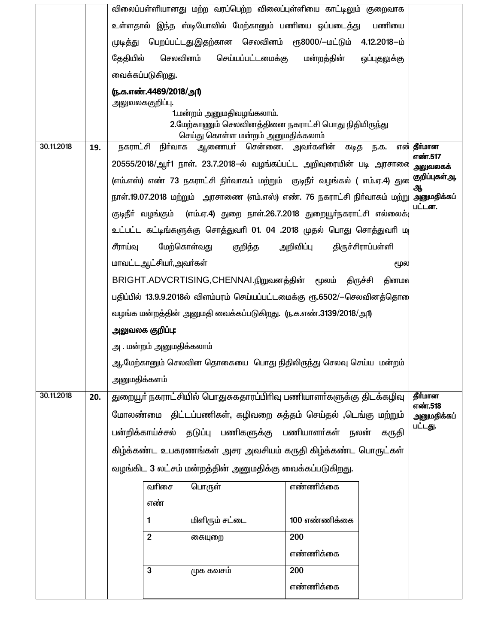|            |     | விலைப்பள்ளியானது மற்ற வரப்பெற்ற விலைப்புள்ளியை காட்டிலும் குறைவாக           |                                                                                           |               |                   |                        |  |  |  |  |
|------------|-----|-----------------------------------------------------------------------------|-------------------------------------------------------------------------------------------|---------------|-------------------|------------------------|--|--|--|--|
|            |     | உள்ளதால் இந்த ஸ்டியோவில் மேற்கானும் பணியை ஒப்படைத்து                        |                                                                                           |               | பணியை             |                        |  |  |  |  |
|            |     | முடித்து                                                                    | பெறப்பட்டது.இதற்கான செலவினம் ரூ8000/-மட்டும் 4.12.2018–ம்                                 |               |                   |                        |  |  |  |  |
|            |     | தேதியில்<br>செலவினம்                                                        | செய்யப்பட்டமைக்கு                                                                         | மன்றத்தின்    | ஒப்புதலுக்கு      |                        |  |  |  |  |
|            |     | வைக்கப்படுகிறது.                                                            |                                                                                           |               |                   |                        |  |  |  |  |
|            |     | (ந.க.எண்.4469/2018/அ1)                                                      |                                                                                           |               |                   |                        |  |  |  |  |
|            |     | அலுவலககுறிப்பு.                                                             | 1.மன்றம் அனுமதிவழங்கலாம்.                                                                 |               |                   |                        |  |  |  |  |
|            |     |                                                                             | 2.மேற்காணும் செலவினத்தினை நகராட்சி பொது நிதியிருந்து<br>செய்து கொள்ள மன்றம் அனுமதிக்கலாம் |               |                   |                        |  |  |  |  |
| 30.11.2018 | 19. | நகராட்சி<br>நிர்வாக                                                         | ஆணையா் சென்னை. அவா்களின்                                                                  | கடித          | ந.க.              | என் தீர்மான<br>எண்.517 |  |  |  |  |
|            |     |                                                                             | 20555/2018/ஆர்1 நாள். 23.7.2018–ல் வழங்கப்பட்ட அறிவுரையின் படி அரசாவை                     |               |                   |                        |  |  |  |  |
|            |     | (எம்.எஸ்) எண் 73 நகராட்சி நிர்வாகம் மற்றும் குடிநீர் வழங்கல் ( எம்.ஏ.4) துன | குறிப்புகள் ஆ,<br>ஆ                                                                       |               |                   |                        |  |  |  |  |
|            |     |                                                                             | நாள்.19.07.2018 மற்றும்  அரசாணை (எம்.எஸ்) எண். 76 நகராட்சி நிா்வாகம் மற்று அனுமதிக்கப்    |               |                   |                        |  |  |  |  |
|            |     | குடிநீா் வழங்கும் (எம்.ஏ.4) துறை நாள்.26.7.2018 துறையூா்நகராட்சி எல்லைக்    |                                                                                           | பட்டன.        |                   |                        |  |  |  |  |
|            |     | உட்பட்ட கட்டிங்களுக்கு சொத்துவரி 01. 04 .2018 முதல் பொது சொத்துவரி ம        |                                                                                           |               |                   |                        |  |  |  |  |
|            |     | மேற்கொள்வது<br>சீராய்வு                                                     | குறித்த                                                                                   | அறிவிப்பு     | திருச்சிராப்பள்ளி |                        |  |  |  |  |
|            |     | மாவட்டஆட்சியர்,அவர்கள்                                                      |                                                                                           |               | மூல               |                        |  |  |  |  |
|            |     | BRIGHT.ADVCRTISING,CHENNAI.நிறுவனத்தின் மூலம் திருச்சி                      | தினமல                                                                                     |               |                   |                        |  |  |  |  |
|            |     | பதிப்பில் 13.9.9.2018ல் விளம்பரம் செய்யப்பட்டமைக்கு ரூ.6502/-செலவினத்தொன    |                                                                                           |               |                   |                        |  |  |  |  |
|            |     | வழங்க மன்றத்தின் அனுமதி வைக்கப்படுகிறது. (ந.க.எண்.3139/2018/அ1)             |                                                                                           |               |                   |                        |  |  |  |  |
|            |     | அலுவலக குறிப்பு:                                                            |                                                                                           |               |                   |                        |  |  |  |  |
|            |     | அ . மன்றம் அனுமதிக்கலாம்                                                    |                                                                                           |               |                   |                        |  |  |  |  |
|            |     | ஆ.மேற்கானும் செலவின தொகையை  பொது நிதிலிருந்து செலவு செய்ய  மன்றம்           |                                                                                           |               |                   |                        |  |  |  |  |
|            |     | அனுமதிக்களம்                                                                |                                                                                           |               |                   |                        |  |  |  |  |
| 30.11.2018 | 20. | துறையூா் நகராட்சியில் பொதுசுகதாரப்பிாிவு பணியாளா்களுக்கு திடக்கழிவு         |                                                                                           |               |                   | தீர்மான                |  |  |  |  |
|            |     | மோலண்மை திட்டப்பணிகள், கழிவறை சுத்தம் செய்தல் ,டெங்கு மற்றும்               |                                                                                           |               |                   | எண்.518<br>அனுமதிக்கப் |  |  |  |  |
|            |     | பன்றிக்காய்ச்சல் தடுப்பு பணிகளுக்கு பணியாளர்கள் நலன்                        |                                                                                           |               | கருதி             | பட்டது.                |  |  |  |  |
|            |     | கிழ்க்கண்ட உபகரணங்கள் அசர அவசியம் கருதி கிழ்க்கண்ட பொருட்கள்                |                                                                                           |               |                   |                        |  |  |  |  |
|            |     | வழங்கிட 3 லட்சம் மன்றத்தின் அனுமதிக்கு வைக்கப்படுகிறது.                     |                                                                                           |               |                   |                        |  |  |  |  |
|            |     | வரிசை                                                                       | பொருள்                                                                                    | எண்ணிக்கை     |                   |                        |  |  |  |  |
|            |     | எண்                                                                         |                                                                                           |               |                   |                        |  |  |  |  |
|            |     | $\mathbf{1}$                                                                | மிளிரும் சட்டை                                                                            | 100 எண்ணிக்கை |                   |                        |  |  |  |  |
|            |     | $\overline{2}$                                                              | கையுறை                                                                                    | 200           |                   |                        |  |  |  |  |
|            |     |                                                                             |                                                                                           | எண்ணிக்கை     |                   |                        |  |  |  |  |
|            |     | 3                                                                           | முக கவசம்                                                                                 | 200           |                   |                        |  |  |  |  |
|            |     |                                                                             |                                                                                           | எண்ணிக்கை     |                   |                        |  |  |  |  |
|            |     |                                                                             |                                                                                           |               |                   |                        |  |  |  |  |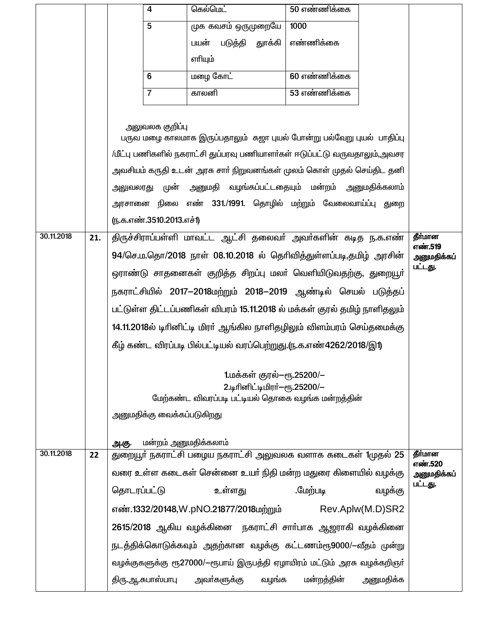|            |     |                                                                                                                                           | 4                                                                                                | கெல்மெட்                               | 50 எண்ணிக்கை |                  |         |  |  |
|------------|-----|-------------------------------------------------------------------------------------------------------------------------------------------|--------------------------------------------------------------------------------------------------|----------------------------------------|--------------|------------------|---------|--|--|
|            |     |                                                                                                                                           | 5                                                                                                | முக கவசம் ஒருமுறையே                    | 1000         |                  |         |  |  |
|            |     |                                                                                                                                           |                                                                                                  | படுத்தி<br>பயன்<br>துாக்கி             | எண்ணிக்கை    |                  |         |  |  |
|            |     |                                                                                                                                           |                                                                                                  | எரியும்                                |              |                  |         |  |  |
|            |     |                                                                                                                                           | 6                                                                                                | மழை கோட்                               | 60 எண்ணிக்கை |                  |         |  |  |
|            |     |                                                                                                                                           | $\overline{7}$                                                                                   | காலனி                                  | 53 எண்ணிக்கை |                  |         |  |  |
|            |     |                                                                                                                                           |                                                                                                  |                                        |              |                  |         |  |  |
|            |     |                                                                                                                                           | அலுவலக குறி <b>ப்</b> பு<br>பருவ மழை காலமாக இருப்பதாலும் கஜா புயல் போன்று பல்வேறு புயல் பாதிப்பு |                                        |              |                  |         |  |  |
|            |     |                                                                                                                                           |                                                                                                  |                                        |              |                  |         |  |  |
|            |     | /மீட்பு பணிகளில் நகராட்சி துப்பரவு பணியாளர்கள் ஈடுப்பட்டு வருவதாலும்,அவசர                                                                 |                                                                                                  |                                        |              |                  |         |  |  |
|            |     | அவசியம் கருதி உடன் அரசு சாா் நிறுவனங்கள் முலம் கொள் முதல் செய்திட தனி                                                                     |                                                                                                  |                                        |              |                  |         |  |  |
|            |     | அனுமதி வழங்கப்பட்டதையும் மன்றம் அனுமதிக்கலாம்<br>அலுவலரது முன்                                                                            |                                                                                                  |                                        |              |                  |         |  |  |
|            |     | அரசானை நிலை எண் 331./1991. தொழில் மற்றும் வேலைவாய்ப்பு துறை<br>(ந.க.எண்.3510.2013.எச்1)                                                   |                                                                                                  |                                        |              |                  |         |  |  |
| 30.11.2018 | 21. | திருச்சிராப்பள்ளி மாவட்ட ஆட்சி தலைவர் அவர்களின் கடித ந.க.எண்<br>தீர்மான                                                                   |                                                                                                  |                                        |              |                  |         |  |  |
|            |     | எண்.519                                                                                                                                   |                                                                                                  |                                        |              |                  |         |  |  |
|            |     | 94/செ.ம.தொ/2018 நாள் 08.10.2018 ல் தெரிவித்துள்ளப்படி,தமிழ் அரசின்<br>அனுமதிக்கப்<br>பட்டது.                                              |                                                                                                  |                                        |              |                  |         |  |  |
|            |     | ஒராண்டு சாதனைகள் குறித்த சிறப்பு மலா் வெளியிடுவதற்கு, துறையூா்                                                                            |                                                                                                  |                                        |              |                  |         |  |  |
|            |     | நகராட்சியில் 2017—2018மற்றும் 2018—2019 ஆண்டில் செயல் படுத்தப்                                                                            |                                                                                                  |                                        |              |                  |         |  |  |
|            |     | பட்டுள்ள திட்டப்பணிகள் விபரம் 15.11.2018 ல் மக்கள் குரல் தமிழ் நாளிதலும்                                                                  |                                                                                                  |                                        |              |                  |         |  |  |
|            |     | 14.11.2018ல் டிரினிட்டி மிரா் ஆங்கில நாளிதழிலும் விளம்பரம் செய்தமைக்கு                                                                    |                                                                                                  |                                        |              |                  |         |  |  |
|            |     | கீழ் கண்ட விரப்படி பில்பட்டியல் வரப்பெற்றுது.(ந.க.எண்4262/2018/இ1)                                                                        |                                                                                                  |                                        |              |                  |         |  |  |
|            |     | 1.மக்கள் குரல்—ரூ.25200/—                                                                                                                 |                                                                                                  |                                        |              |                  |         |  |  |
|            |     | 2.டிரினிட்டிமிரர்-ரூ.25200/-                                                                                                              |                                                                                                  |                                        |              |                  |         |  |  |
|            |     | மேற்கண்ட விவரப்படி பட்டியல் தொகை வழங்க மன்றத்தின்                                                                                         |                                                                                                  |                                        |              |                  |         |  |  |
|            |     |                                                                                                                                           | அனுமதிக்கு வைக்கப்படுகிறது                                                                       |                                        |              |                  |         |  |  |
|            |     | அ.கு.                                                                                                                                     |                                                                                                  |                                        |              |                  |         |  |  |
| 30.11.2018 | 22  | மன்றம் அனுமதிக்கலாம்<br>துறையூர் நகராட்சி பழைய நகராட்சி அலுவலக வளாக கடைகள் 1முதல் 25                                                      |                                                                                                  |                                        |              |                  |         |  |  |
|            |     | வரை உள்ள கடைகள் சென்னை உயர் நிதி மன்ற மதுரை கிளையில் வழக்கு                                                                               | எண்.520<br>அனுமதிக்கப்                                                                           |                                        |              |                  |         |  |  |
|            |     | தொடரப்பட்டு                                                                                                                               |                                                                                                  | உள்ளது                                 | .மேற்படி     | வழக்கு           | பட்டது. |  |  |
|            |     |                                                                                                                                           |                                                                                                  | எண்.1332/20148,W.pNO.21877/2018மற்றும் |              | Rev.Aplw(M.D)SR2 |         |  |  |
|            |     |                                                                                                                                           | 2615/2018 ஆகிய வழக்கினை நகராட்சி சாா்பாக ஆஜராகி வழக்கினை                                         |                                        |              |                  |         |  |  |
|            |     | நடத்திக்கொடுக்கவும் அதற்கான வழக்கு கட்டணம்ரூ9000/–வீதம் முன்று<br>வழக்குகளுக்கு ரூ27000/—ரூபாய் இருபத்தி ஏழாயிரம் மட்டும் அரசு வழக்கறிஞர் |                                                                                                  |                                        |              |                  |         |  |  |
|            |     |                                                                                                                                           |                                                                                                  |                                        |              |                  |         |  |  |
|            |     |                                                                                                                                           | திரு.ஆ.சுபாஸ்பாபு                                                                                | அவா்களுக்கு<br>வழங்க                   | மன்றத்தின்   | அனுமதிக்க        |         |  |  |
|            |     |                                                                                                                                           |                                                                                                  |                                        |              |                  |         |  |  |